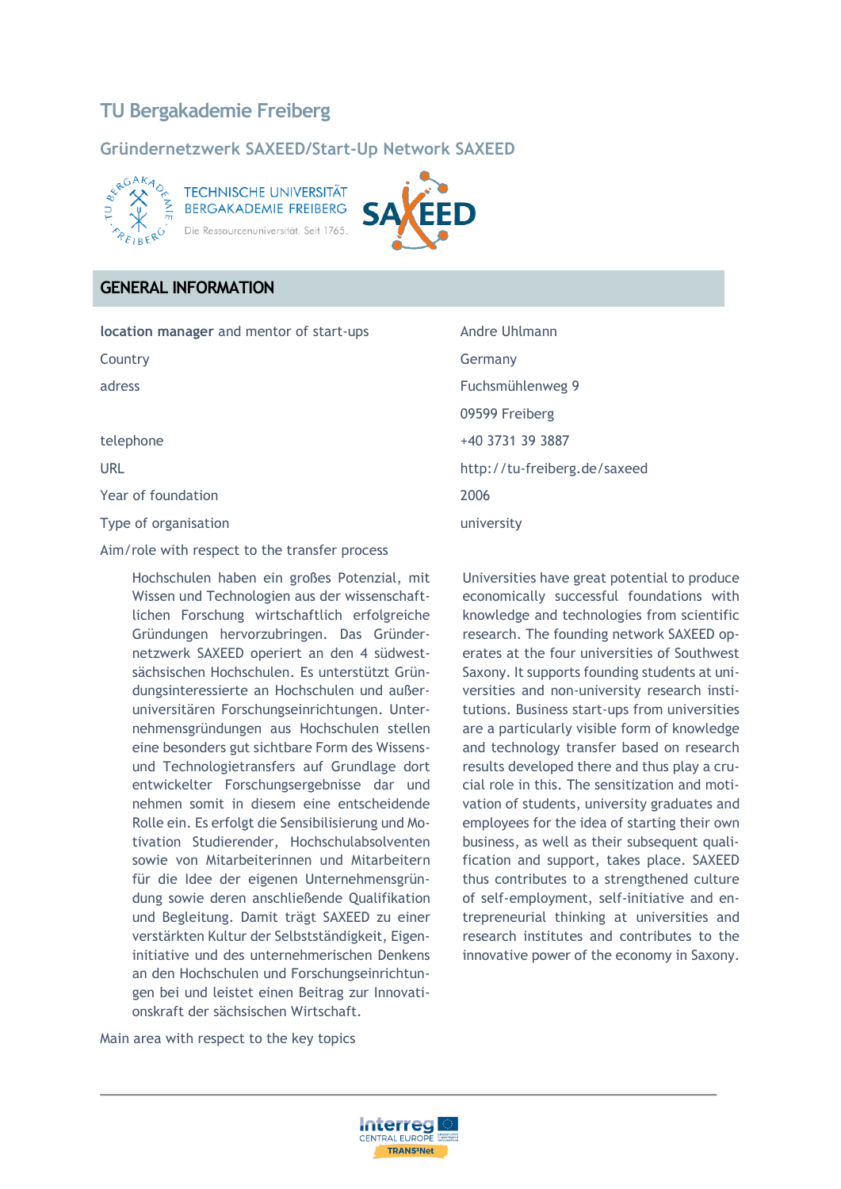# **TU Bergakademie Freiberg**

### **Gründernetzwerk SAXEED/Start-Up Network SAXEED**



**TECHNISCHE UNIVERSITÄT BERGAKADEMIE FREIBERG** Ressourcenuniversität. Seit 1765.



### **GENERAL INFORMATION**

**location manager** and mentor of start-ups Andre Uhlmann

Year of foundation 2006

Type of organisation and the contract of the university

Aim/role with respect to the transfer process

Hochschulen haben ein großes Potenzial, mit Wissen und Technologien aus der wissenschaftlichen Forschung wirtschaftlich erfolgreiche Gründungen hervorzubringen. Das Gründernetzwerk SAXEED operiert an den 4 südwestsächsischen Hochschulen. Es unterstützt Gründungsinteressierte an Hochschulen und außeruniversitären Forschungseinrichtungen. Unternehmensgründungen aus Hochschulen stellen eine besonders gut sichtbare Form des Wissensund Technologietransfers auf Grundlage dort entwickelter Forschungsergebnisse dar und nehmen somit in diesem eine entscheidende Rolle ein. Es erfolgt die Sensibilisierung und Motivation Studierender, Hochschulabsolventen sowie von Mitarbeiterinnen und Mitarbeitern für die Idee der eigenen Unternehmensgründung sowie deren anschließende Qualifikation und Begleitung. Damit trägt SAXEED zu einer verstärkten Kultur der Selbstständigkeit, Eigeninitiative und des unternehmerischen Denkens an den Hochschulen und Forschungseinrichtungen bei und leistet einen Beitrag zur Innovationskraft der sächsischen Wirtschaft.

Country **Germany** adress Fuchsmühlenweg 9 09599 Freiberg telephone +40 3731 39 3887 URL URL http://tu-freiberg.de/saxeed

> Universities have great potential to produce economically successful foundations with knowledge and technologies from scientific research. The founding network SAXEED operates at the four universities of Southwest Saxony. It supports founding students at universities and non-university research institutions. Business start-ups from universities are a particularly visible form of knowledge and technology transfer based on research results developed there and thus play a crucial role in this. The sensitization and motivation of students, university graduates and employees for the idea of starting their own business, as well as their subsequent qualification and support, takes place. SAXEED thus contributes to a strengthened culture of self-employment, self-initiative and entrepreneurial thinking at universities and research institutes and contributes to the innovative power of the economy in Saxony.

Main area with respect to the key topics

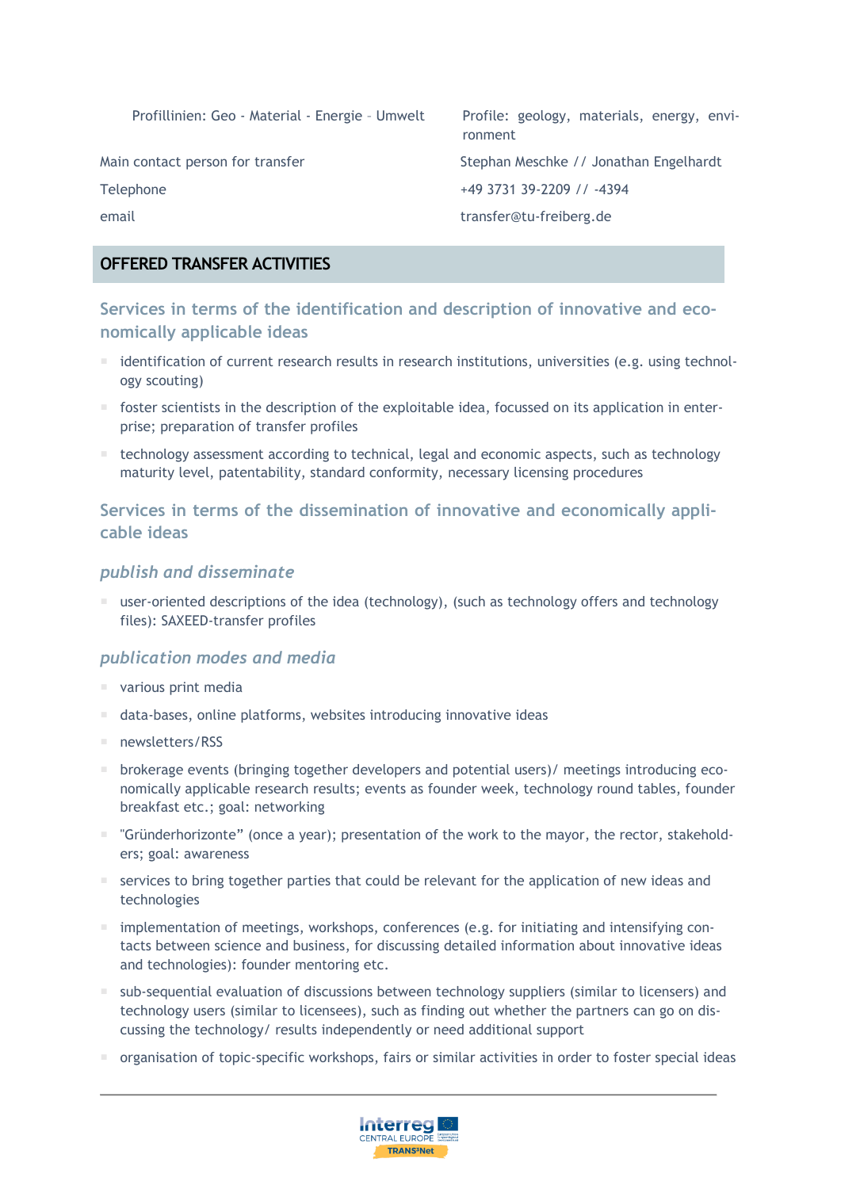Profillinien: Geo - Material - Energie - Umwelt Profile: geology, materials, energy, environment

Main contact person for transfer Stephan Meschke // Jonathan Engelhardt Telephone +49 3731 39-2209 // -4394

email transfer@tu-freiberg.de

## **OFFERED TRANSFER ACTIVITIES**

**Services in terms of the identification and description of innovative and economically applicable ideas**

- identification of current research results in research institutions, universities (e.g. using technology scouting)
- foster scientists in the description of the exploitable idea, focussed on its application in enterprise; preparation of transfer profiles
- technology assessment according to technical, legal and economic aspects, such as technology maturity level, patentability, standard conformity, necessary licensing procedures

## **Services in terms of the dissemination of innovative and economically applicable ideas**

### *publish and disseminate*

 user-oriented descriptions of the idea (technology), (such as technology offers and technology files): SAXEED-transfer profiles

### *publication modes and media*

- various print media
- data-bases, online platforms, websites introducing innovative ideas
- newsletters/RSS
- brokerage events (bringing together developers and potential users)/ meetings introducing economically applicable research results; events as founder week, technology round tables, founder breakfast etc.; goal: networking
- "Gründerhorizonte" (once a year); presentation of the work to the mayor, the rector, stakeholders; goal: awareness
- $\blacksquare$  services to bring together parties that could be relevant for the application of new ideas and technologies
- $\blacksquare$  implementation of meetings, workshops, conferences (e.g. for initiating and intensifying contacts between science and business, for discussing detailed information about innovative ideas and technologies): founder mentoring etc.
- sub-sequential evaluation of discussions between technology suppliers (similar to licensers) and technology users (similar to licensees), such as finding out whether the partners can go on discussing the technology/ results independently or need additional support
- organisation of topic-specific workshops, fairs or similar activities in order to foster special ideas

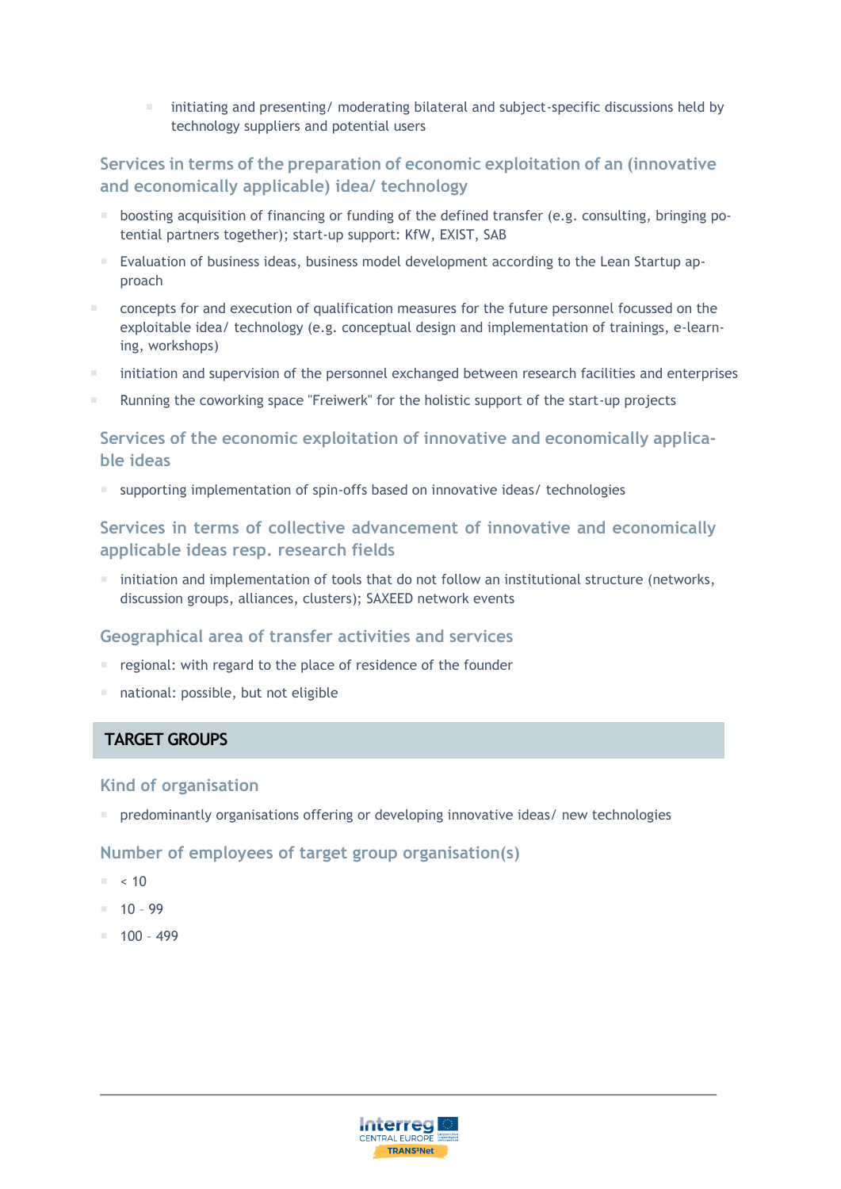initiating and presenting/ moderating bilateral and subject-specific discussions held by technology suppliers and potential users

## **Services in terms of the preparation of economic exploitation of an (innovative and economically applicable) idea/ technology**

- **boosting acquisition of financing or funding of the defined transfer (e.g. consulting, bringing po**tential partners together); start-up support: KfW, EXIST, SAB
- Evaluation of business ideas, business model development according to the Lean Startup approach
- concepts for and execution of qualification measures for the future personnel focussed on the exploitable idea/ technology (e.g. conceptual design and implementation of trainings, e-learning, workshops)
- initiation and supervision of the personnel exchanged between research facilities and enterprises
- Running the coworking space "Freiwerk" for the holistic support of the start-up projects

### **Services of the economic exploitation of innovative and economically applicable ideas**

supporting implementation of spin-offs based on innovative ideas/ technologies

## **Services in terms of collective advancement of innovative and economically applicable ideas resp. research fields**

 $\blacksquare$  initiation and implementation of tools that do not follow an institutional structure (networks, discussion groups, alliances, clusters); SAXEED network events

#### **Geographical area of transfer activities and services**

- regional: with regard to the place of residence of the founder
- national: possible, but not eligible

### **TARGET GROUPS**

#### **Kind of organisation**

 $\blacksquare$  predominantly organisations offering or developing innovative ideas/ new technologies

#### **Number of employees of target group organisation(s)**

- $\approx 10$
- $10 99$
- $100 499$